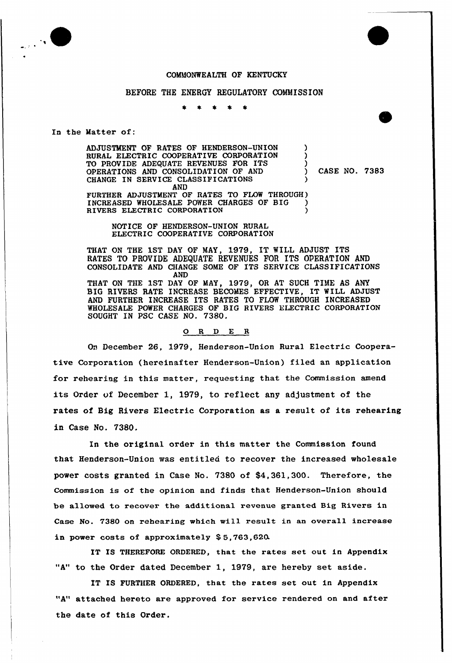



### BEFORE THE ENERGY REGULATORY COMMISSION

In the Matter of:

ADJUSTMENT OF RATES OF HENDERSON-UNION ) RURAL ELECTRIC COOPERATIVE CORPORATION TO PROVIDE ADEQUATE REVENUES FOR ITS ) OPERATIONS AND CONSOLIDATION OF AND ) CASE NO. 7383 CHANGE IN SERVICE CLASSIFICATIONS AND FURTHER ADJUSTMENT OF RATES TO FLOW THROUGH) INCREASED WHOLESALE POWER CHARGES OF BIG ) RIVERS ELECTRIC CORPORATION

NOTICE OF HENDERSON-UNION RURAL ELECTRIC COOPERATIVE CORPORATION

THAT ON THE 1ST DAY OF MAY, 1979, IT WILL ADJUST ITS RATES TO PROVIDE ADEQUATE REVENUES FOR ITS OPERATION AND CONSOLIDATE AND CHANGE SOME OF ITS SERVICE CLASSIFICATIONS AND THAT ON THE 1ST DAY OF MAY, 1979, OR AT SUCH TIME AS ANY BIG RIVERS RATE INCREASE BECOMES EFFECTIVE, IT WILL ADJUST AND FURTHER INCREASE ITS RATES TO FLOW THROUGH INCREASED WHOLESALE POWER CHARGES OF BIG RIVERS ELECTRIC CORPORATION SOUGHT IN PSC CASE NO. 7380.

## 0 <sup>R</sup> <sup>D</sup> E <sup>R</sup>

On December 26, 1979, Henderson-Union Rural Electric Cooperative Corporation (hereinafter Henderson-Union) filed an application for rehearing in this matter, requesting that the Commission amend its Order of December 1, 1979, to reflect any adjustment of the rates of Big Rivers Electric Corporation as a result of its rehearing in Case No. 7380.

In the original order in this matter the Commission found that Henderson-Union was entitled to recover the increased wholesale power costs granted in Case No. 7380 of \$4,361,300. Therefore, the Commission is of the opinion and finds that Henderson-Union should be allowed to recover the additional revenue granted Big Rivers in Case No. 73SO on rehearing which will result in an overall increase in power costs of approximately \$5,763,620.

IT IS THEREFORE ORDERED, that the rates set out in Appendix "A" to the Order dated December 1, 1979, are hereby set aside.

IT IS FURTHER ORDERED, that the rates set out in Appendix "A" attached hereto are approved for service rendered on and after the date of this Order.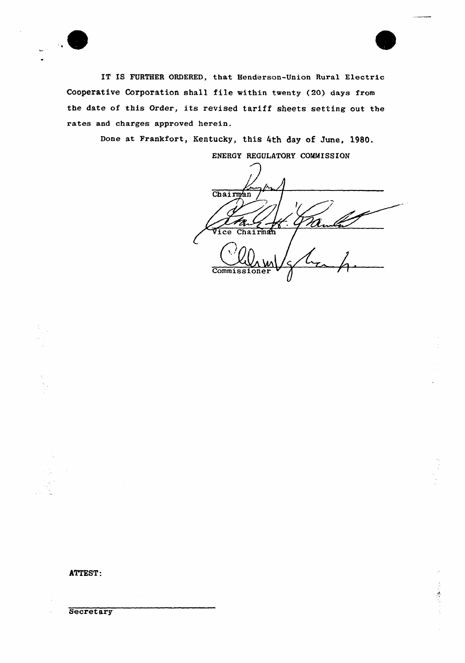

IT IS FURTHER ORDERED, that Henderson-Union Rural Electric Cooperative Corporation shall file within twenty (20) days from the date of this Order, its revised tariff sheets setting out the rates and charges approved herein.

Bone at Frankfort, Kentucky, this 4th day of June, 1980.

ENERGY REGULATORY COMMISSION

Chairman Vice Chairman **Commissioner** 

ATTEST:

**Secretary**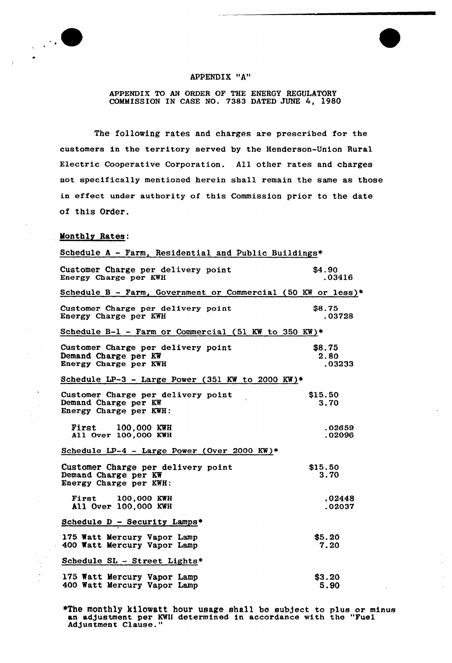

### APPENDIX "A"

APPENDIX TO AN ORDER OF THE ENERGY REGULATORY COMMISSION IN CASE NO. 7383 DATED JUNE 4, l980

The following rates and charges are prescribed for the customers in the territory served by the Henderson-Union Rural Electric Cooperative Corporation. All other rates and charges not specifically mentioned herein shall remain the same as those in effect under authority of this Commission prior to the date of this Order.

# Monthly Rates:

| Schedule A - Farm, Residential and Public Buildings*                                 |                          |
|--------------------------------------------------------------------------------------|--------------------------|
| Customer Charge per delivery point<br>Energy Charge per KWH                          | \$4.90<br>.03416         |
| Schedule B - Farm, Government or Commercial (50 KW or less) <sup>1</sup>             |                          |
| Customer Charge per delivery point<br>Energy Charge per KWH                          | \$8.75<br>.03728         |
| Schedule B-1 - Farm or Commercial (51 KW to 350 KW)*                                 |                          |
| Customer Charge per delivery point<br>Demand Charge per KW<br>Energy Charge per KWH  | \$8.75<br>2.80<br>.03233 |
| Schedule LP-3 - Large Power (351 KW to 2000 KW)*                                     |                          |
| Customer Charge per delivery point<br>Demand Charge per KW<br>Energy Charge per KWH: | \$15.50<br>3.70          |
| <b>First 100,000 KWH</b><br>All Over 100,000 KWH                                     | .02659<br>.02096         |
| Schedule LP-4 - Large Power (Over 2000 KW)*                                          |                          |
| Customer Charge per delivery point<br>Demand Charge per KW<br>Energy Charge per KWH: | \$15.50<br>3.70          |
| <b>First 100,000 KWH</b><br>All Over 100,000 KWH                                     | .02448<br>.02037         |
| Schedule D - Security Lamps*                                                         |                          |
| 175 Watt Mercury Vapor Lamp<br>400 Watt Mercury Vapor Lamp                           | \$5.20<br>7.20           |
| Schedule SL - Street Lights*                                                         |                          |
| 175 Watt Mercury Vapor Lamp<br>400 Watt Mercury Vapor Lamp                           | \$3.20<br>5.90           |

\*The monthly kilowatt hour usage shall be subject to plus or minu an adjustment per KWH determined in accordance with the "Fuel Ad)ustment Clause."